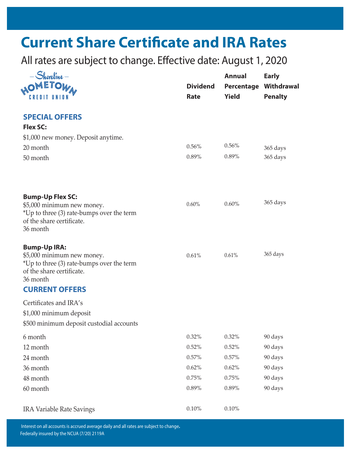# **Current Share Certificate and IRA Rates**

All rates are subject to change. Effective date: August 1, 2020

| $Shoreline -$<br><sub>no</sub> metow <sub>a</sub><br><b>CREDIT UNION</b>                                                                | <b>Dividend</b><br>Rate | <b>Annual</b><br><b>Yield</b> | <b>Early</b><br><b>Percentage Withdrawal</b><br><b>Penalty</b> |
|-----------------------------------------------------------------------------------------------------------------------------------------|-------------------------|-------------------------------|----------------------------------------------------------------|
| <b>SPECIAL OFFERS</b>                                                                                                                   |                         |                               |                                                                |
| <b>Flex SC:</b>                                                                                                                         |                         |                               |                                                                |
| \$1,000 new money. Deposit anytime.                                                                                                     |                         |                               |                                                                |
| 20 month                                                                                                                                | 0.56%                   | 0.56%                         | 365 days                                                       |
| 50 month                                                                                                                                | 0.89%                   | 0.89%                         | 365 days                                                       |
| <b>Bump-Up Flex SC:</b>                                                                                                                 | 0.60%                   | 0.60%                         | 365 days                                                       |
| \$5,000 minimum new money.<br>*Up to three (3) rate-bumps over the term<br>of the share certificate.<br>36 month                        |                         |                               |                                                                |
| <b>Bump-Up IRA:</b><br>\$5,000 minimum new money.<br>*Up to three (3) rate-bumps over the term<br>of the share certificate.<br>36 month | 0.61%                   | 0.61%                         | 365 days                                                       |
| <b>CURRENT OFFERS</b>                                                                                                                   |                         |                               |                                                                |
| Certificates and IRA's                                                                                                                  |                         |                               |                                                                |
| \$1,000 minimum deposit                                                                                                                 |                         |                               |                                                                |
| \$500 minimum deposit custodial accounts                                                                                                |                         |                               |                                                                |
| 6 month                                                                                                                                 | 0.32%                   | 0.32%                         | 90 days                                                        |
| 12 month                                                                                                                                | 0.52%                   | 0.52%                         | 90 days                                                        |
| 24 month                                                                                                                                | 0.57%                   | 0.57%                         | 90 days                                                        |
| 36 month                                                                                                                                | 0.62%                   | 0.62%                         | 90 days                                                        |
| 48 month                                                                                                                                | 0.75%                   | 0.75%                         | 90 days                                                        |
| 60 month                                                                                                                                | 0.89%                   | 0.89%                         | 90 days                                                        |
| <b>IRA Variable Rate Savings</b>                                                                                                        | $0.10\%$                | $0.10\%$                      |                                                                |

 Federally insured by the NCUA (7/20) 2119A Interest on all accounts is accrued average daily and all rates are subject to change**.**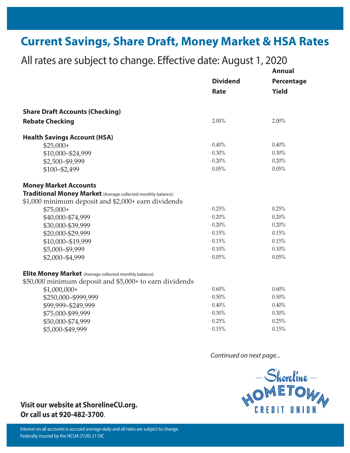## **Current Savings, Share Draft, Money Market & HSA Rates**

| $\overline{a}$ in rates are subject to charge. Encenve date, ragust 1, 2020 |                 | <b>Annual</b>              |
|-----------------------------------------------------------------------------|-----------------|----------------------------|
|                                                                             | <b>Dividend</b> | Percentage<br><b>Yield</b> |
|                                                                             | Rate            |                            |
| <b>Share Draft Accounts (Checking)</b>                                      |                 |                            |
| <b>Rebate Checking</b>                                                      | 2.00%           | 2.00%                      |
| <b>Health Savings Account (HSA)</b>                                         |                 |                            |
| $$25,000+$                                                                  | 0.40%           | 0.40%                      |
| \$10,000-\$24,999                                                           | $0.30\%$        | 0.30%                      |
| \$2,500-\$9,999                                                             | 0.20%           | 0.20%                      |
| \$100-\$2,499                                                               | 0.05%           | 0.05%                      |
| <b>Money Market Accounts</b>                                                |                 |                            |
| <b>Traditional Money Market</b> (Average collected monthly balance):        |                 |                            |
| \$1,000 minimum deposit and \$2,000+ earn dividends                         |                 |                            |
| $$75,000+$                                                                  | 0.25%           | 0.25%                      |
| \$40,000-\$74,999                                                           | 0.20%           | 0.20%                      |
| \$30,000-\$39,999                                                           | 0.20%           | 0.20%                      |
| \$20,000-\$29,999                                                           | 0.15%           | 0.15%                      |
| \$10,000-\$19,999                                                           | 0.15%           | 0.15%                      |
| \$5,000-\$9,999                                                             | 0.10%           | 0.10%                      |
| \$2,000-\$4,999                                                             | 0.05%           | 0.05%                      |
| Elite Money Market (Average collected monthly balance):                     |                 |                            |
| \$50,000 minimum deposit and \$5,000+ to earn dividends                     |                 |                            |
| $$1,000,000+$                                                               | 0.60%           | 0.60%                      |
| \$250,000-\$999,999                                                         | 0.50%           | 0.50%                      |
| \$99,999-\$249,999                                                          | 0.40%           | 0.40%                      |
| \$75,000-\$99,999                                                           | 0.30%           | 0.30%                      |
| \$50,000-\$74,999                                                           | 0.25%           | 0.25%                      |
| \$5,000-\$49,999                                                            | 0.15%           | 0.15%                      |

All rates are subject to change. Effective date: August 1, 2020

*Continued on next page...*



#### **Visit our website at ShorelineCU.org. Or call us at 920-482-3700**.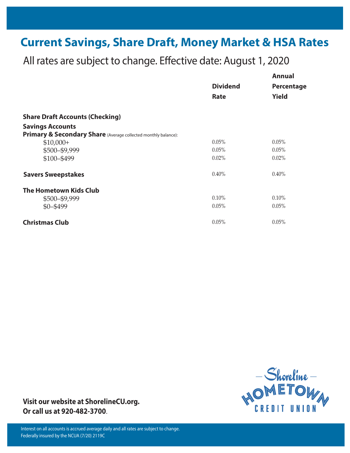# **Current Savings, Share Draft, Money Market & HSA Rates**

All rates are subject to change. Effective date: August 1, 2020

|                                                                | <b>Dividend</b><br>Rate | <b>Annual</b><br>Percentage<br><b>Yield</b> |
|----------------------------------------------------------------|-------------------------|---------------------------------------------|
|                                                                |                         |                                             |
|                                                                |                         |                                             |
| <b>Share Draft Accounts (Checking)</b>                         |                         |                                             |
| <b>Savings Accounts</b>                                        |                         |                                             |
| Primary & Secondary Share (Average collected monthly balance): |                         |                                             |
| $$10,000+$                                                     | 0.05%                   | 0.05%                                       |
| \$500-\$9,999                                                  | 0.05%                   | 0.05%                                       |
| \$100-\$499                                                    | 0.02%                   | 0.02%                                       |
| <b>Savers Sweepstakes</b>                                      | $0.40\%$                | $0.40\%$                                    |
| <b>The Hometown Kids Club</b>                                  |                         |                                             |
| \$500-\$9,999                                                  | $0.10\%$                | 0.10%                                       |
| $$0 - $499$                                                    | 0.05%                   | 0.05%                                       |
| <b>Christmas Club</b>                                          | 0.05%                   | 0.05%                                       |



**Visit our website at ShorelineCU.org. Or call us at 920-482-3700**.

 Interest on all accounts is accrued average daily and all rates are subject to change. Federally insured by the NCUA (7/20) 2119C